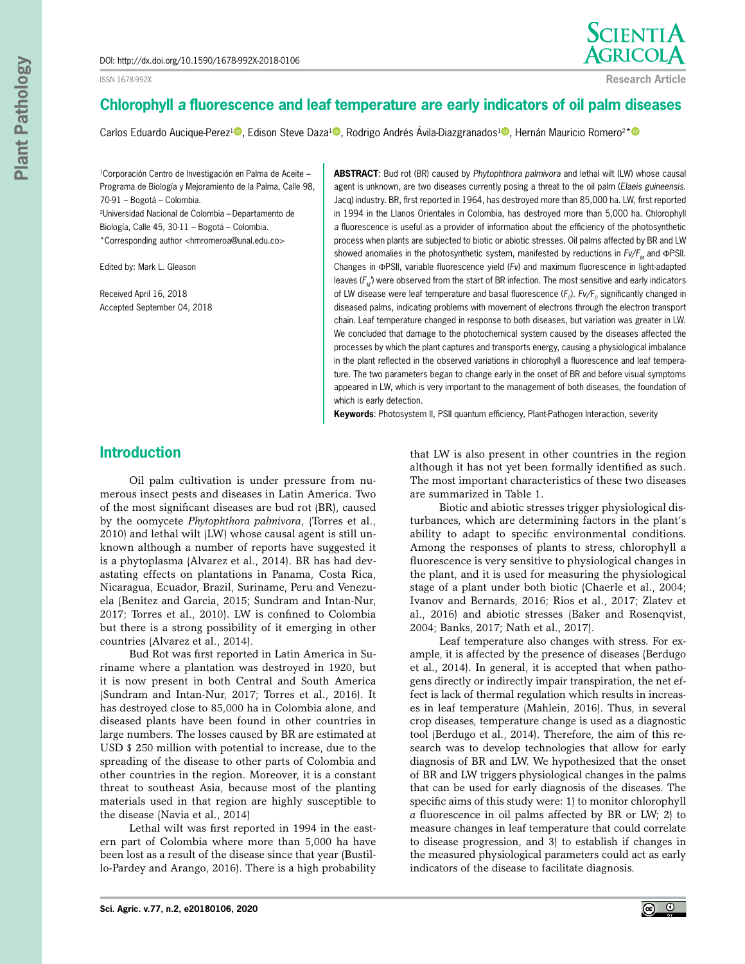ISSN 1678-992X



**Research Article**

# **Chlorophyll** *a* **fluorescence and leaf temperature are early indicators of oil palm diseases**

Carlos Eduardo Aucique-Perez<sup>[1](https://orcid.org/0000-0002-7091-9077)</sup><sup>®</sup>[,](https://orcid.org/0000-0001-8972-9663) Edison Steve Daza<sup>1®</sup>, Rodrigo Andrés Ávila-Diazgranados<sup>1®</sup>, Hernán Mauricio Romero<sup>2[\\*](https://orcid.org/0000-0002-0760-2296)®</sup>

<sup>1</sup>Corporación Centro de Investigación en Palma de Aceite -Programa de Biología y Mejoramiento de la Palma, Calle 98, 70-91 – Bogotá – Colombia. 2Universidad Nacional de Colombia – Departamento de Biología, Calle 45, 30-11 – Bogotá – Colombia. \*Corresponding author <hmromeroa@unal.edu.co>

Edited by: Mark L. Gleason

Received April 16, 2018 Accepted September 04, 2018 **ABSTRACT**: Bud rot (BR) caused by *Phytophthora palmivora* and lethal wilt (LW) whose causal agent is unknown, are two diseases currently posing a threat to the oil palm (*Elaeis guineensis*. Jacq) industry. BR, first reported in 1964, has destroyed more than 85,000 ha. LW, first reported in 1994 in the Llanos Orientales in Colombia, has destroyed more than 5,000 ha. Chlorophyll *a* fluorescence is useful as a provider of information about the efficiency of the photosynthetic process when plants are subjected to biotic or abiotic stresses. Oil palms affected by BR and LW showed anomalies in the photosynthetic system, manifested by reductions in *Fv/F<sub>M</sub>* and ΦPSII. Changes in ΦPSII, variable fluorescence yield (*Fv*) and maximum fluorescence in light-adapted leaves (F<sub>M</sub>') were observed from the start of BR infection. The most sensitive and early indicators of LW disease were leaf temperature and basal fluorescence ( $F_0$ ).  $Fv/F_0$  significantly changed in diseased palms, indicating problems with movement of electrons through the electron transport chain. Leaf temperature changed in response to both diseases, but variation was greater in LW. We concluded that damage to the photochemical system caused by the diseases affected the processes by which the plant captures and transports energy, causing a physiological imbalance in the plant reflected in the observed variations in chlorophyll a fluorescence and leaf temperature. The two parameters began to change early in the onset of BR and before visual symptoms appeared in LW, which is very important to the management of both diseases, the foundation of which is early detection.

**Keywords**: Photosystem II, PSII quantum efficiency, Plant-Pathogen Interaction, severity

## **Introduction**

Oil palm cultivation is under pressure from numerous insect pests and diseases in Latin America. Two of the most significant diseases are bud rot (BR), caused by the oomycete *Phytophthora palmivora*, (Torres et al., 2010) and lethal wilt (LW) whose causal agent is still unknown although a number of reports have suggested it is a phytoplasma (Alvarez et al., 2014). BR has had devastating effects on plantations in Panama, Costa Rica, Nicaragua, Ecuador, Brazil, Suriname, Peru and Venezuela (Benitez and Garcia, 2015; Sundram and Intan-Nur, 2017; Torres et al., 2010). LW is confined to Colombia but there is a strong possibility of it emerging in other countries (Alvarez et al., 2014).

Bud Rot was first reported in Latin America in Suriname where a plantation was destroyed in 1920, but it is now present in both Central and South America (Sundram and Intan-Nur, 2017; Torres et al., 2016). It has destroyed close to 85,000 ha in Colombia alone, and diseased plants have been found in other countries in large numbers. The losses caused by BR are estimated at USD \$ 250 million with potential to increase, due to the spreading of the disease to other parts of Colombia and other countries in the region. Moreover, it is a constant threat to southeast Asia, because most of the planting materials used in that region are highly susceptible to the disease (Navia et al., 2014)

Lethal wilt was first reported in 1994 in the eastern part of Colombia where more than 5,000 ha have been lost as a result of the disease since that year (Bustillo-Pardey and Arango, 2016). There is a high probability that LW is also present in other countries in the region although it has not yet been formally identified as such. The most important characteristics of these two diseases are summarized in Table 1.

Biotic and abiotic stresses trigger physiological disturbances, which are determining factors in the plant's ability to adapt to specific environmental conditions. Among the responses of plants to stress, chlorophyll a fluorescence is very sensitive to physiological changes in the plant, and it is used for measuring the physiological stage of a plant under both biotic (Chaerle et al., 2004; Ivanov and Bernards, 2016; Rios et al., 2017; Zlatev et al., 2016) and abiotic stresses (Baker and Rosenqvist, 2004; Banks, 2017; Nath et al., 2017).

Leaf temperature also changes with stress. For example, it is affected by the presence of diseases (Berdugo et al., 2014). In general, it is accepted that when pathogens directly or indirectly impair transpiration, the net effect is lack of thermal regulation which results in increases in leaf temperature (Mahlein, 2016). Thus, in several crop diseases, temperature change is used as a diagnostic tool (Berdugo et al., 2014). Therefore, the aim of this research was to develop technologies that allow for early diagnosis of BR and LW. We hypothesized that the onset of BR and LW triggers physiological changes in the palms that can be used for early diagnosis of the diseases. The specific aims of this study were: 1) to monitor chlorophyll *a* fluorescence in oil palms affected by BR or LW; 2) to measure changes in leaf temperature that could correlate to disease progression, and 3) to establish if changes in the measured physiological parameters could act as early indicators of the disease to facilitate diagnosis.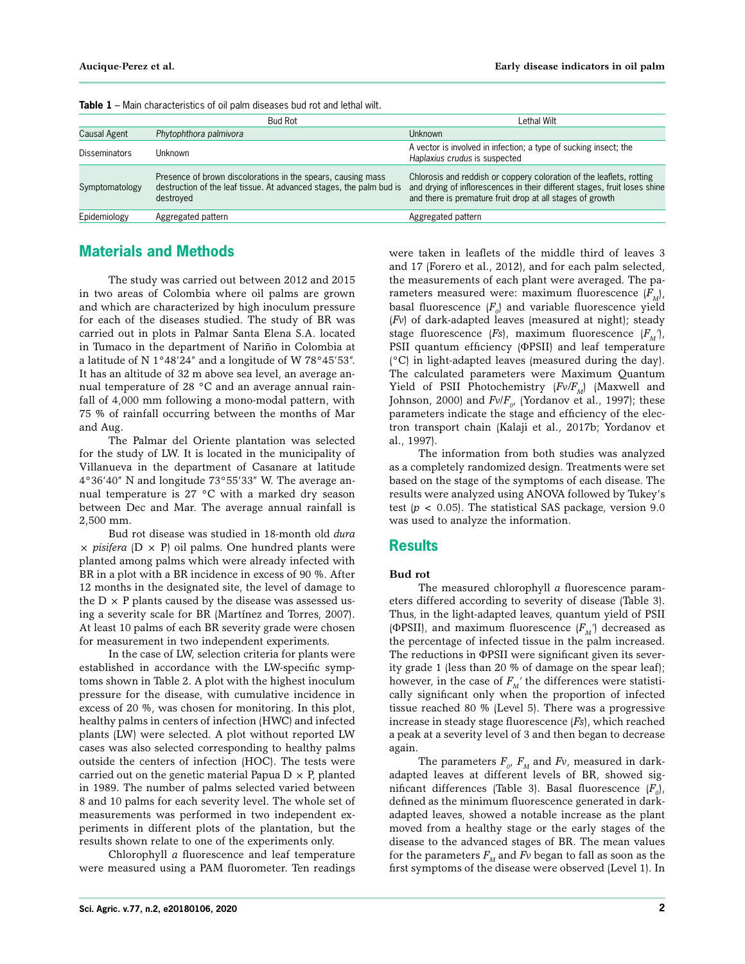|                      | <b>Bud Rot</b>                                                                                                                                   | Lethal Wilt                                                                                                                                                                                                    |  |  |  |
|----------------------|--------------------------------------------------------------------------------------------------------------------------------------------------|----------------------------------------------------------------------------------------------------------------------------------------------------------------------------------------------------------------|--|--|--|
| Causal Agent         | Phytophthora palmivora                                                                                                                           | <b>Unknown</b>                                                                                                                                                                                                 |  |  |  |
| <b>Disseminators</b> | Unknown                                                                                                                                          | A vector is involved in infection; a type of sucking insect; the<br>Haplaxius crudus is suspected                                                                                                              |  |  |  |
| Symptomatology       | Presence of brown discolorations in the spears, causing mass<br>destruction of the leaf tissue. At advanced stages, the palm bud is<br>destroyed | Chlorosis and reddish or coppery coloration of the leaflets, rotting<br>and drying of inflorescences in their different stages, fruit loses shine<br>and there is premature fruit drop at all stages of growth |  |  |  |
| Epidemiology         | Aggregated pattern                                                                                                                               | Aggregated pattern                                                                                                                                                                                             |  |  |  |

**Table 1** – Main characteristics of oil palm diseases bud rot and lethal wilt.

## **Materials and Methods**

The study was carried out between 2012 and 2015 in two areas of Colombia where oil palms are grown and which are characterized by high inoculum pressure for each of the diseases studied. The study of BR was carried out in plots in Palmar Santa Elena S.A. located in Tumaco in the department of Nariño in Colombia at a latitude of N 1°48'24" and a longitude of W 78°45'53". It has an altitude of 32 m above sea level, an average annual temperature of 28 °C and an average annual rainfall of 4,000 mm following a mono-modal pattern, with 75 % of rainfall occurring between the months of Mar and Aug.

The Palmar del Oriente plantation was selected for the study of LW. It is located in the municipality of Villanueva in the department of Casanare at latitude 4°36'40" N and longitude 73°55'33" W. The average annual temperature is 27 °C with a marked dry season between Dec and Mar. The average annual rainfall is 2,500 mm.

Bud rot disease was studied in 18-month old *dura*  $\times$  *pisifera* (D  $\times$  P) oil palms. One hundred plants were planted among palms which were already infected with BR in a plot with a BR incidence in excess of 90 %. After 12 months in the designated site, the level of damage to the  $D \times P$  plants caused by the disease was assessed using a severity scale for BR (Martínez and Torres, 2007). At least 10 palms of each BR severity grade were chosen for measurement in two independent experiments.

In the case of LW, selection criteria for plants were established in accordance with the LW-specific symptoms shown in Table 2. A plot with the highest inoculum pressure for the disease, with cumulative incidence in excess of 20 %, was chosen for monitoring. In this plot, healthy palms in centers of infection (HWC) and infected plants (LW) were selected. A plot without reported LW cases was also selected corresponding to healthy palms outside the centers of infection (HOC). The tests were carried out on the genetic material Papua  $D \times P$ , planted in 1989. The number of palms selected varied between 8 and 10 palms for each severity level. The whole set of measurements was performed in two independent experiments in different plots of the plantation, but the results shown relate to one of the experiments only.

Chlorophyll *a* fluorescence and leaf temperature were measured using a PAM fluorometer. Ten readings

were taken in leaflets of the middle third of leaves 3 and 17 (Forero et al., 2012), and for each palm selected, the measurements of each plant were averaged. The parameters measured were: maximum fluorescence  $(F_M)$ , basal fluorescence  $\{F_{_0}\}$  and variable fluorescence yield (*Fv*) of dark-adapted leaves (measured at night); steady stage fluorescence  $(Fs)$ , maximum fluorescence  $(F_M')$ , PSII quantum efficiency (ΦPSII) and leaf temperature (°C) in light-adapted leaves (measured during the day). The calculated parameters were Maximum Quantum Yield of PSII Photochemistry ( $Fv/F_M$ ) (Maxwell and Johnson, 2000) and  $Fv/F_{o}$ , (Yordanov et al., 1997); these parameters indicate the stage and efficiency of the electron transport chain (Kalaji et al., 2017b; Yordanov et al., 1997).

The information from both studies was analyzed as a completely randomized design. Treatments were set based on the stage of the symptoms of each disease. The results were analyzed using ANOVA followed by Tukey's test (*p* < 0.05). The statistical SAS package, version 9.0 was used to analyze the information.

## **Results**

#### **Bud rot**

The measured chlorophyll *a* fluorescence parameters differed according to severity of disease (Table 3). Thus, in the light-adapted leaves, quantum yield of PSII (ΦPSII), and maximum fluorescence  $(F_M')$  decreased as the percentage of infected tissue in the palm increased. The reductions in ΦPSII were significant given its severity grade 1 (less than 20 % of damage on the spear leaf); however, in the case of  $F_M'$  the differences were statistically significant only when the proportion of infected tissue reached 80 % (Level 5). There was a progressive increase in steady stage fluorescence (*Fs*), which reached a peak at a severity level of 3 and then began to decrease again.

The parameters  $F_{\scriptscriptstyle O'}$   $F_{\scriptscriptstyle M}$  and  $F$ v, measured in darkadapted leaves at different levels of BR, showed significant differences (Table 3). Basal fluorescence  $(F_o)$ , defined as the minimum fluorescence generated in darkadapted leaves, showed a notable increase as the plant moved from a healthy stage or the early stages of the disease to the advanced stages of BR. The mean values for the parameters  $F_M$  and  $Fv$  began to fall as soon as the first symptoms of the disease were observed (Level 1). In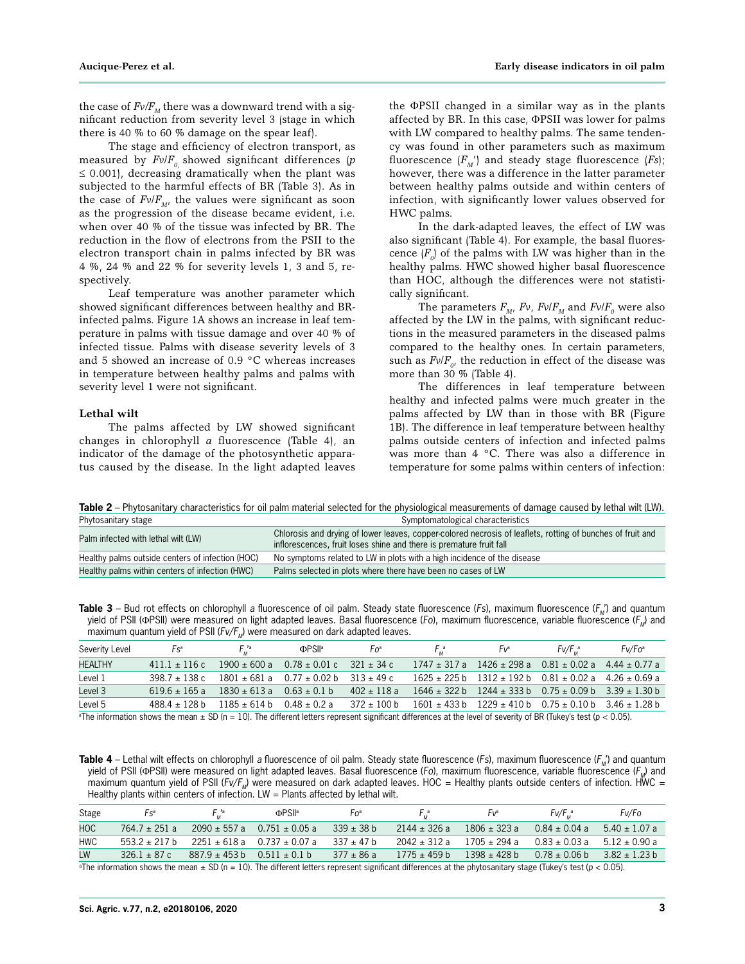the case of  $Fv/F_M$  there was a downward trend with a significant reduction from severity level 3 (stage in which there is 40 % to 60 % damage on the spear leaf).

The stage and efficiency of electron transport, as measured by  $Fv/F_{0}$  showed significant differences (*p*  $\leq$  0.001), decreasing dramatically when the plant was subjected to the harmful effects of BR (Table 3). As in the case of  $Fv/F_{M}$ , the values were significant as soon as the progression of the disease became evident, i.e. when over 40 % of the tissue was infected by BR. The reduction in the flow of electrons from the PSII to the electron transport chain in palms infected by BR was 4 %, 24 % and 22 % for severity levels 1, 3 and 5, respectively.

Leaf temperature was another parameter which showed significant differences between healthy and BRinfected palms. Figure 1A shows an increase in leaf temperature in palms with tissue damage and over 40 % of infected tissue. Palms with disease severity levels of 3 and 5 showed an increase of 0.9 °C whereas increases in temperature between healthy palms and palms with severity level 1 were not significant.

#### **Lethal wilt**

The palms affected by LW showed significant changes in chlorophyll *a* fluorescence (Table 4), an indicator of the damage of the photosynthetic apparatus caused by the disease. In the light adapted leaves

the ΦPSII changed in a similar way as in the plants affected by BR. In this case, ΦPSII was lower for palms with LW compared to healthy palms. The same tendency was found in other parameters such as maximum fluorescence  $(F_M')$  and steady stage fluorescence  $(Fs)$ ; however, there was a difference in the latter parameter between healthy palms outside and within centers of infection, with significantly lower values observed for HWC palms.

In the dark-adapted leaves, the effect of LW was also significant (Table 4). For example, the basal fluorescence  $(F_o)$  of the palms with LW was higher than in the healthy palms. HWC showed higher basal fluorescence than HOC, although the differences were not statistically significant.

The parameters  $F_{M'}$ ,  $Fv/F_M$  and  $Fv/F_o$  were also affected by the LW in the palms, with significant reductions in the measured parameters in the diseased palms compared to the healthy ones. In certain parameters, such as  $Fv/F_{0}$ , the reduction in effect of the disease was more than 30 % (Table 4).

The differences in leaf temperature between healthy and infected palms were much greater in the palms affected by LW than in those with BR (Figure 1B). The difference in leaf temperature between healthy palms outside centers of infection and infected palms was more than 4 °C. There was also a difference in temperature for some palms within centers of infection:

Table 2 – Phytosanitary characteristics for oil palm material selected for the physiological measurements of damage caused by lethal wilt (LW). Phytosanitary stage Symptomatological characteristics states of the Symptomatological characteristics states of the Symptomatological characteristics states of the Symptomatological characteristics states of the Symptomato

| Palm infected with lethal wilt (LW)              | Chlorosis and drying of lower leaves, copper-colored necrosis of leaflets, rotting of bunches of fruit and<br>inflorescences, fruit loses shine and there is premature fruit fall |
|--------------------------------------------------|-----------------------------------------------------------------------------------------------------------------------------------------------------------------------------------|
| Healthy palms outside centers of infection (HOC) | No symptoms related to LW in plots with a high incidence of the disease                                                                                                           |
| Healthy palms within centers of infection (HWC)  | Palms selected in plots where there have been no cases of LW                                                                                                                      |

Table 3 – Bud rot effects on chlorophyll *a* fluorescence of oil palm. Steady state fluorescence (*Fs*), maximum fluorescence ( $F_u$ ) and quantum yield of PSII (ΦPSII) were measured on light adapted leaves. Basal fluorescence (*Fo*), maximum fluorescence, variable fluorescence (*FM*) and maximum quantum yield of PSII ( $Fv/F<sub>M</sub>$ ) were measured on dark adapted leaves.

| Severity Level                                                                                                                                                                   | $Fs^a$            | $F_{\mu}$ 'a                      | <b>ФPS∥</b> ª                                     | Foª             | F.ª | Fvª | $Fv/F_{\mu}^{\alpha}$                                                 | Fv/Fo <sup>a</sup> |
|----------------------------------------------------------------------------------------------------------------------------------------------------------------------------------|-------------------|-----------------------------------|---------------------------------------------------|-----------------|-----|-----|-----------------------------------------------------------------------|--------------------|
| <b>HEALTHY</b>                                                                                                                                                                   | $411.1 \pm 116$ c |                                   | $1900 \pm 600$ a $0.78 \pm 0.01$ c $321 \pm 34$ c |                 |     |     | $1747 \pm 317$ a $1426 \pm 298$ a $0.81 \pm 0.02$ a $4.44 \pm 0.77$ a |                    |
| Level 1                                                                                                                                                                          | $398.7 \pm 138$ c |                                   | $1801 \pm 681$ a 0.77 $\pm$ 0.02 b                | $313 \pm 49$ c  |     |     | $1625 \pm 225$ b $1312 \pm 192$ b $0.81 \pm 0.02$ a $4.26 \pm 0.69$ a |                    |
| Level 3                                                                                                                                                                          | $619.6 \pm 165$ a | $1830 \pm 613$ a $0.63 \pm 0.1$ b |                                                   | $402 \pm 118$ a |     |     | $1646 \pm 322$ b $1244 \pm 333$ b $0.75 \pm 0.09$ b $3.39 \pm 1.30$ b |                    |
| Level 5                                                                                                                                                                          | 488.4 ± 128 b     | $1185 \pm 614$ b 0.48 $\pm$ 0.2 a |                                                   | 372 ± 100 b     |     |     | $1601 \pm 433$ b $1229 \pm 410$ b $0.75 \pm 0.10$ b $3.46 \pm 1.28$ b |                    |
| $\textdegree$ The information shows the mean $\pm$ SD (n = 10). The different letters represent significant differences at the level of severity of BR (Tukey's test (p < 0.05). |                   |                                   |                                                   |                 |     |     |                                                                       |                    |

Table 4 – Lethal wilt effects on chlorophyll a fluorescence of oil palm. Steady state fluorescence (*Fs*), maximum fluorescence (*F<sub>M</sub>*') and quantum yield of PSII (ΦPSII) were measured on light adapted leaves. Basal fluorescence (*Fo*), maximum fluorescence, variable fluorescence (*FM*) and maximum quantum yield of PSII (*Fv/F<sub>M</sub>*) were measured on dark adapted leaves. HOC = Healthy plants outside centers of infection. HWC = Healthy plants within centers of infection.  $LW =$  Plants affected by lethal wilt.

| Stage      | $FS^a$                                                                                                                                        | $F_{\mu}$ <sup>a</sup>                               | <b>ФPS∥</b> а                                                                                                                                                                                                                      | Fo <sup>a</sup> | $F_{12}^a$       | Fvª                                                                   | Fv/F.ª                                              | Fv/Fo |
|------------|-----------------------------------------------------------------------------------------------------------------------------------------------|------------------------------------------------------|------------------------------------------------------------------------------------------------------------------------------------------------------------------------------------------------------------------------------------|-----------------|------------------|-----------------------------------------------------------------------|-----------------------------------------------------|-------|
| <b>HOC</b> | $764.7 \pm 251$ a                                                                                                                             |                                                      | $2090 \pm 557$ a 0.751 $\pm$ 0.05 a                                                                                                                                                                                                | $339 \pm 38$ b  | $2144 \pm 326$ a | $1806 \pm 323$ a                                                      | $0.84 \pm 0.04$ a 5.40 $\pm$ 1.07 a                 |       |
| <b>HWC</b> |                                                                                                                                               |                                                      | $553.2 \pm 217 b$ $2251 \pm 618 a$ $0.737 \pm 0.07 a$                                                                                                                                                                              | $337 \pm 47$ b  |                  | $2042 \pm 312$ a $1705 \pm 294$ a $0.83 \pm 0.03$ a $5.12 \pm 0.90$ a |                                                     |       |
| LW         |                                                                                                                                               | $326.1 \pm 87$ c $887.9 \pm 453$ b $0.511 \pm 0.1$ b |                                                                                                                                                                                                                                    | 377 ± 86 a      | $1775 \pm 459$ b | 1398 ± 428 b                                                          | $0.78 \pm 0.06 \text{ h}$ $3.82 \pm 1.23 \text{ h}$ |       |
|            | $\frac{1}{2}$ , $\frac{1}{2}$ , $\frac{1}{2}$ , $\frac{1}{2}$ , $\frac{1}{2}$ , $\frac{1}{2}$ , $\frac{1}{2}$ , $\frac{1}{2}$ , $\frac{1}{2}$ |                                                      | $\overline{a}$ , and the set of the set of the set of the set of the set of the set of the set of the set of the set of the set of the set of the set of the set of the set of the set of the set of the set of the set of the set |                 |                  |                                                                       |                                                     |       |

a The information shows the mean ± SD (n = 10). The different letters represent significant differences at the phytosanitary stage (Tukey's test (*p* < 0.05).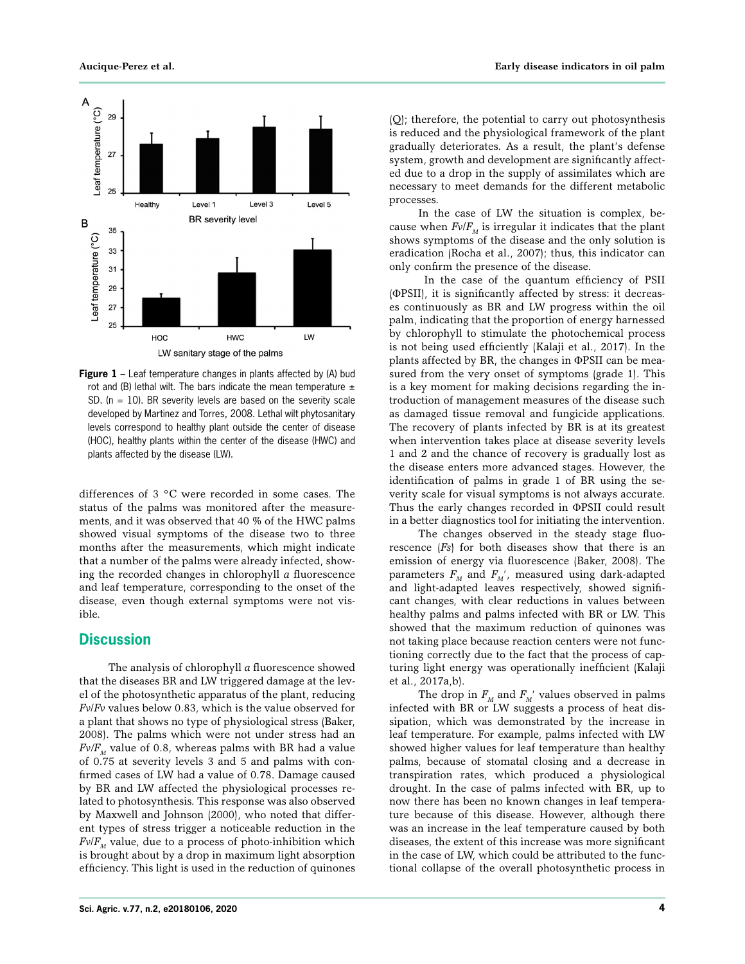

**Figure 1** – Leaf temperature changes in plants affected by (A) bud rot and (B) lethal wilt. The bars indicate the mean temperature  $\pm$ SD. ( $n = 10$ ). BR severity levels are based on the severity scale developed by Martinez and Torres, 2008. Lethal wilt phytosanitary levels correspond to healthy plant outside the center of disease (HOC), healthy plants within the center of the disease (HWC) and plants affected by the disease (LW).

differences of 3 °C were recorded in some cases. The status of the palms was monitored after the measurements, and it was observed that 40 % of the HWC palms showed visual symptoms of the disease two to three months after the measurements, which might indicate that a number of the palms were already infected, showing the recorded changes in chlorophyll *a* fluorescence and leaf temperature, corresponding to the onset of the disease, even though external symptoms were not visible.

#### **Discussion**

The analysis of chlorophyll *a* fluorescence showed that the diseases BR and LW triggered damage at the level of the photosynthetic apparatus of the plant, reducing *Fv*/*Fv* values below 0.83, which is the value observed for a plant that shows no type of physiological stress (Baker, 2008). The palms which were not under stress had an  $Fv/F<sub>M</sub>$  value of 0.8, whereas palms with BR had a value of 0.75 at severity levels 3 and 5 and palms with confirmed cases of LW had a value of 0.78. Damage caused by BR and LW affected the physiological processes related to photosynthesis. This response was also observed by Maxwell and Johnson (2000), who noted that different types of stress trigger a noticeable reduction in the  $Fv/F<sub>M</sub>$  value, due to a process of photo-inhibition which is brought about by a drop in maximum light absorption efficiency. This light is used in the reduction of quinones

(Q); therefore, the potential to carry out photosynthesis is reduced and the physiological framework of the plant gradually deteriorates. As a result, the plant's defense system, growth and development are significantly affected due to a drop in the supply of assimilates which are necessary to meet demands for the different metabolic processes.

In the case of LW the situation is complex, because when  $Fv/F_{M}$  is irregular it indicates that the plant shows symptoms of the disease and the only solution is eradication (Rocha et al., 2007); thus, this indicator can only confirm the presence of the disease.

 In the case of the quantum efficiency of PSII (ΦPSII), it is significantly affected by stress: it decreases continuously as BR and LW progress within the oil palm, indicating that the proportion of energy harnessed by chlorophyll to stimulate the photochemical process is not being used efficiently (Kalaji et al., 2017). In the plants affected by BR, the changes in ΦPSII can be measured from the very onset of symptoms (grade 1). This is a key moment for making decisions regarding the introduction of management measures of the disease such as damaged tissue removal and fungicide applications. The recovery of plants infected by BR is at its greatest when intervention takes place at disease severity levels 1 and 2 and the chance of recovery is gradually lost as the disease enters more advanced stages. However, the identification of palms in grade 1 of BR using the severity scale for visual symptoms is not always accurate. Thus the early changes recorded in ΦPSII could result in a better diagnostics tool for initiating the intervention.

The changes observed in the steady stage fluorescence (*Fs*) for both diseases show that there is an emission of energy via fluorescence (Baker, 2008). The parameters  $F_M$  and  $F_M'$ , measured using dark-adapted and light-adapted leaves respectively, showed significant changes, with clear reductions in values between healthy palms and palms infected with BR or LW. This showed that the maximum reduction of quinones was not taking place because reaction centers were not functioning correctly due to the fact that the process of capturing light energy was operationally inefficient (Kalaji et al., 2017a,b).

The drop in  $F_M$  and  $F_M'$  values observed in palms infected with BR or LW suggests a process of heat dissipation, which was demonstrated by the increase in leaf temperature. For example, palms infected with LW showed higher values for leaf temperature than healthy palms, because of stomatal closing and a decrease in transpiration rates, which produced a physiological drought. In the case of palms infected with BR, up to now there has been no known changes in leaf temperature because of this disease. However, although there was an increase in the leaf temperature caused by both diseases, the extent of this increase was more significant in the case of LW, which could be attributed to the functional collapse of the overall photosynthetic process in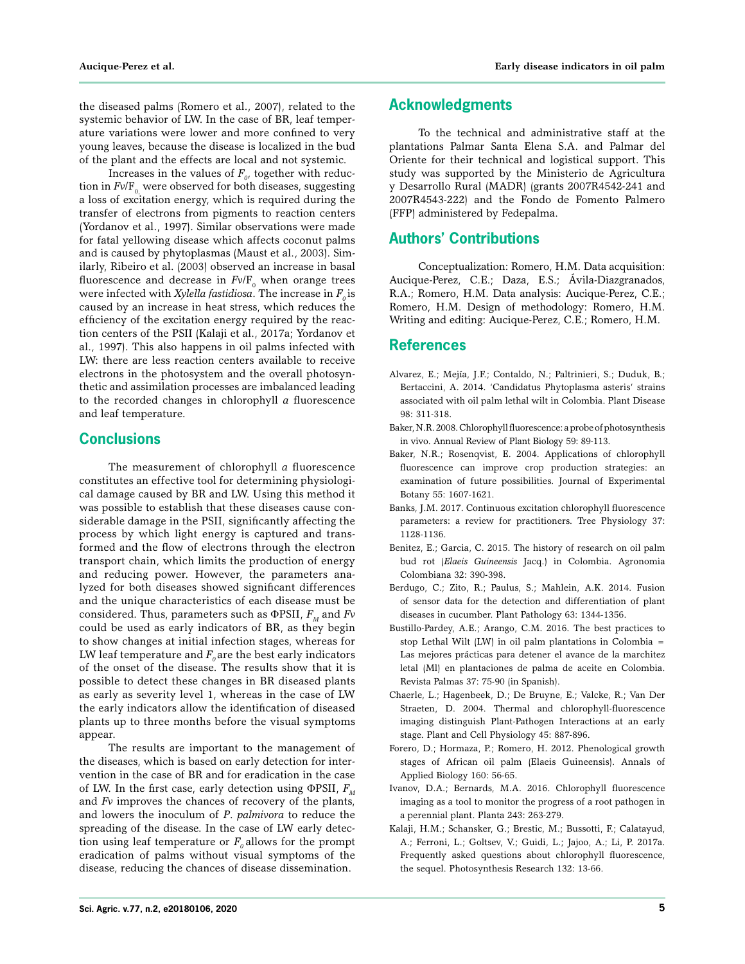the diseased palms (Romero et al., 2007), related to the systemic behavior of LW. In the case of BR, leaf temperature variations were lower and more confined to very young leaves, because the disease is localized in the bud of the plant and the effects are local and not systemic.

Increases in the values of  $F_{\rho}$ , together with reduction in  $Fv/F_0$  were observed for both diseases, suggesting a loss of excitation energy, which is required during the transfer of electrons from pigments to reaction centers (Yordanov et al., 1997). Similar observations were made for fatal yellowing disease which affects coconut palms and is caused by phytoplasmas (Maust et al., 2003). Similarly, Ribeiro et al. (2003) observed an increase in basal fluorescence and decrease in  $Fv/F_{0}$  when orange trees were infected with *Xylella fastidiosa*. The increase in  $F_0$  is caused by an increase in heat stress, which reduces the efficiency of the excitation energy required by the reaction centers of the PSII (Kalaji et al., 2017a; Yordanov et al., 1997). This also happens in oil palms infected with LW: there are less reaction centers available to receive electrons in the photosystem and the overall photosynthetic and assimilation processes are imbalanced leading to the recorded changes in chlorophyll *a* fluorescence and leaf temperature.

## **Conclusions**

The measurement of chlorophyll *a* fluorescence constitutes an effective tool for determining physiological damage caused by BR and LW. Using this method it was possible to establish that these diseases cause considerable damage in the PSII, significantly affecting the process by which light energy is captured and transformed and the flow of electrons through the electron transport chain, which limits the production of energy and reducing power. However, the parameters analyzed for both diseases showed significant differences and the unique characteristics of each disease must be considered. Thus, parameters such as  $\Phi$ PSII,  $F_M$  and  $F_V$ could be used as early indicators of BR, as they begin to show changes at initial infection stages, whereas for LW leaf temperature and  $F_0$  are the best early indicators of the onset of the disease. The results show that it is possible to detect these changes in BR diseased plants as early as severity level 1, whereas in the case of LW the early indicators allow the identification of diseased plants up to three months before the visual symptoms appear.

The results are important to the management of the diseases, which is based on early detection for intervention in the case of BR and for eradication in the case of LW. In the first case, early detection using ΦPSII,  $F<sub>M</sub>$ and *Fv* improves the chances of recovery of the plants, and lowers the inoculum of *P*. *palmivora* to reduce the spreading of the disease. In the case of LW early detection using leaf temperature or  $F_0$  allows for the prompt eradication of palms without visual symptoms of the disease, reducing the chances of disease dissemination.

#### **Acknowledgments**

To the technical and administrative staff at the plantations Palmar Santa Elena S.A. and Palmar del Oriente for their technical and logistical support. This study was supported by the Ministerio de Agricultura y Desarrollo Rural (MADR) (grants 2007R4542-241 and 2007R4543-222) and the Fondo de Fomento Palmero (FFP) administered by Fedepalma.

## **Authors' Contributions**

Conceptualization: Romero, H.M. Data acquisition: Aucique-Perez, C.E.; Daza, E.S.; Ávila-Diazgranados, R.A.; Romero, H.M. Data analysis: Aucique-Perez, C.E.; Romero, H.M. Design of methodology: Romero, H.M. Writing and editing: Aucique-Perez, C.E.; Romero, H.M.

## **References**

- Alvarez, E.; Mejía, J.F.; Contaldo, N.; Paltrinieri, S.; Duduk, B.; Bertaccini, A. 2014. 'Candidatus Phytoplasma asteris' strains associated with oil palm lethal wilt in Colombia. Plant Disease 98: 311-318.
- Baker, N.R. 2008. Chlorophyll fluorescence: a probe of photosynthesis in vivo. Annual Review of Plant Biology 59: 89-113.
- Baker, N.R.; Rosenqvist, E. 2004. Applications of chlorophyll fluorescence can improve crop production strategies: an examination of future possibilities. Journal of Experimental Botany 55: 1607-1621.
- Banks, J.M. 2017. Continuous excitation chlorophyll fluorescence parameters: a review for practitioners. Tree Physiology 37: 1128-1136.
- Benitez, E.; Garcia, C. 2015. The history of research on oil palm bud rot (*Elaeis Guineensis* Jacq.) in Colombia. Agronomia Colombiana 32: 390**-**398.
- Berdugo, C.; Zito, R.; Paulus, S.; Mahlein, A.K. 2014. Fusion of sensor data for the detection and differentiation of plant diseases in cucumber. Plant Pathology 63: 1344-1356.
- Bustillo-Pardey, A.E.; Arango, C.M. 2016. The best practices to stop Lethal Wilt (LW) in oil palm plantations in Colombia = Las mejores prácticas para detener el avance de la marchitez letal (Ml) en plantaciones de palma de aceite en Colombia. Revista Palmas 37: 75-90 (in Spanish).
- Chaerle, L.; Hagenbeek, D.; De Bruyne, E.; Valcke, R.; Van Der Straeten, D. 2004. Thermal and chlorophyll-fluorescence imaging distinguish Plant-Pathogen Interactions at an early stage. Plant and Cell Physiology 45: 887-896.
- Forero, D.; Hormaza, P.; Romero, H. 2012. Phenological growth stages of African oil palm (Elaeis Guineensis). Annals of Applied Biology 160: 56-65.
- Ivanov, D.A.; Bernards, M.A. 2016. Chlorophyll fluorescence imaging as a tool to monitor the progress of a root pathogen in a perennial plant. Planta 243: 263-279.
- Kalaji, H.M.; Schansker, G.; Brestic, M.; Bussotti, F.; Calatayud, A.; Ferroni, L.; Goltsev, V.; Guidi, L.; Jajoo, A.; Li, P. 2017a. Frequently asked questions about chlorophyll fluorescence, the sequel. Photosynthesis Research 132: 13-66.